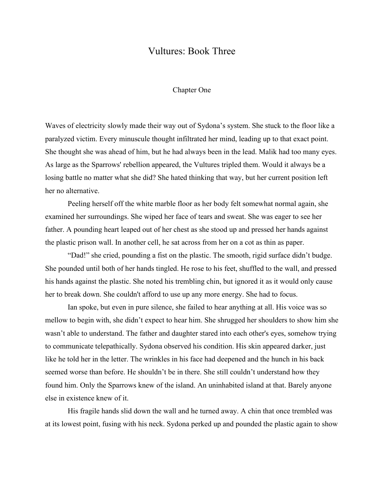## Vultures: Book Three

## Chapter One

Waves of electricity slowly made their way out of Sydona's system. She stuck to the floor like a paralyzed victim. Every minuscule thought infiltrated her mind, leading up to that exact point. She thought she was ahead of him, but he had always been in the lead. Malik had too many eyes. As large as the Sparrows' rebellion appeared, the Vultures tripled them. Would it always be a losing battle no matter what she did? She hated thinking that way, but her current position left her no alternative.

Peeling herself off the white marble floor as her body felt somewhat normal again, she examined her surroundings. She wiped her face of tears and sweat. She was eager to see her father. A pounding heart leaped out of her chest as she stood up and pressed her hands against the plastic prison wall. In another cell, he sat across from her on a cot as thin as paper.

"Dad!" she cried, pounding a fist on the plastic. The smooth, rigid surface didn't budge. She pounded until both of her hands tingled. He rose to his feet, shuffled to the wall, and pressed his hands against the plastic. She noted his trembling chin, but ignored it as it would only cause her to break down. She couldn't afford to use up any more energy. She had to focus.

Ian spoke, but even in pure silence, she failed to hear anything at all. His voice was so mellow to begin with, she didn't expect to hear him. She shrugged her shoulders to show him she wasn't able to understand. The father and daughter stared into each other's eyes, somehow trying to communicate telepathically. Sydona observed his condition. His skin appeared darker, just like he told her in the letter. The wrinkles in his face had deepened and the hunch in his back seemed worse than before. He shouldn't be in there. She still couldn't understand how they found him. Only the Sparrows knew of the island. An uninhabited island at that. Barely anyone else in existence knew of it.

His fragile hands slid down the wall and he turned away. A chin that once trembled was at its lowest point, fusing with his neck. Sydona perked up and pounded the plastic again to show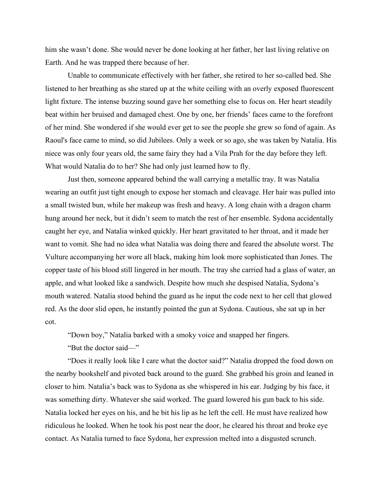him she wasn't done. She would never be done looking at her father, her last living relative on Earth. And he was trapped there because of her.

Unable to communicate effectively with her father, she retired to her so-called bed. She listened to her breathing as she stared up at the white ceiling with an overly exposed fluorescent light fixture. The intense buzzing sound gave her something else to focus on. Her heart steadily beat within her bruised and damaged chest. One by one, her friends' faces came to the forefront of her mind. She wondered if she would ever get to see the people she grew so fond of again. As Raoul's face came to mind, so did Jubilees. Only a week or so ago, she was taken by Natalia. His niece was only four years old, the same fairy they had a Vila Prah for the day before they left. What would Natalia do to her? She had only just learned how to fly.

Just then, someone appeared behind the wall carrying a metallic tray. It was Natalia wearing an outfit just tight enough to expose her stomach and cleavage. Her hair was pulled into a small twisted bun, while her makeup was fresh and heavy. A long chain with a dragon charm hung around her neck, but it didn't seem to match the rest of her ensemble. Sydona accidentally caught her eye, and Natalia winked quickly. Her heart gravitated to her throat, and it made her want to vomit. She had no idea what Natalia was doing there and feared the absolute worst. The Vulture accompanying her wore all black, making him look more sophisticated than Jones. The copper taste of his blood still lingered in her mouth. The tray she carried had a glass of water, an apple, and what looked like a sandwich. Despite how much she despised Natalia, Sydona's mouth watered. Natalia stood behind the guard as he input the code next to her cell that glowed red. As the door slid open, he instantly pointed the gun at Sydona. Cautious, she sat up in her cot.

"Down boy," Natalia barked with a smoky voice and snapped her fingers.

"But the doctor said—"

"Does it really look like I care what the doctor said?" Natalia dropped the food down on the nearby bookshelf and pivoted back around to the guard. She grabbed his groin and leaned in closer to him. Natalia's back was to Sydona as she whispered in his ear. Judging by his face, it was something dirty. Whatever she said worked. The guard lowered his gun back to his side. Natalia locked her eyes on his, and he bit his lip as he left the cell. He must have realized how ridiculous he looked. When he took his post near the door, he cleared his throat and broke eye contact. As Natalia turned to face Sydona, her expression melted into a disgusted scrunch.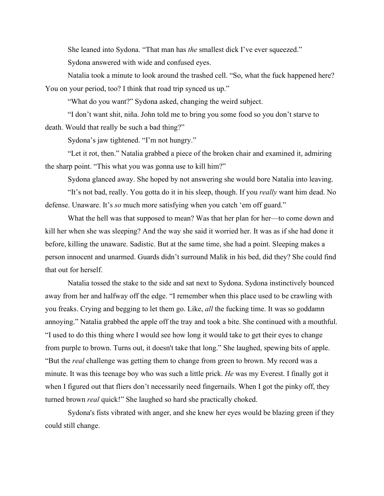She leaned into Sydona. "That man has *the* smallest dick I've ever squeezed."

Sydona answered with wide and confused eyes.

Natalia took a minute to look around the trashed cell. "So, what the fuck happened here? You on your period, too? I think that road trip synced us up."

"What do you want?" Sydona asked, changing the weird subject.

"I don't want shit, niña. John told me to bring you some food so you don't starve to death. Would that really be such a bad thing?"

Sydona's jaw tightened. "I'm not hungry."

"Let it rot, then." Natalia grabbed a piece of the broken chair and examined it, admiring the sharp point. "This what you was gonna use to kill him?"

Sydona glanced away. She hoped by not answering she would bore Natalia into leaving.

"It's not bad, really. You gotta do it in his sleep, though. If you *really* want him dead. No defense. Unaware. It's *so* much more satisfying when you catch 'em off guard."

What the hell was that supposed to mean? Was that her plan for her—to come down and kill her when she was sleeping? And the way she said it worried her. It was as if she had done it before, killing the unaware. Sadistic. But at the same time, she had a point. Sleeping makes a person innocent and unarmed. Guards didn't surround Malik in his bed, did they? She could find that out for herself.

Natalia tossed the stake to the side and sat next to Sydona. Sydona instinctively bounced away from her and halfway off the edge. "I remember when this place used to be crawling with you freaks. Crying and begging to let them go. Like, *all* the fucking time. It was so goddamn annoying." Natalia grabbed the apple off the tray and took a bite. She continued with a mouthful. "I used to do this thing where I would see how long it would take to get their eyes to change from purple to brown. Turns out, it doesn't take that long." She laughed, spewing bits of apple. "But the *real* challenge was getting them to change from green to brown. My record was a minute. It was this teenage boy who was such a little prick. *He* was my Everest. I finally got it when I figured out that fliers don't necessarily need fingernails. When I got the pinky off, they turned brown *real* quick!" She laughed so hard she practically choked.

Sydona's fists vibrated with anger, and she knew her eyes would be blazing green if they could still change.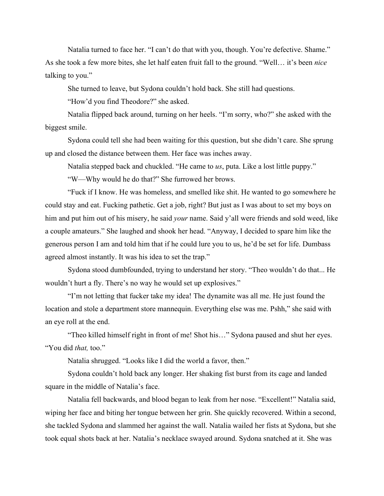Natalia turned to face her. "I can't do that with you, though. You're defective. Shame." As she took a few more bites, she let half eaten fruit fall to the ground. "Well… it's been *nice* talking to you."

She turned to leave, but Sydona couldn't hold back. She still had questions.

"How'd you find Theodore?" she asked.

Natalia flipped back around, turning on her heels. "I'm sorry, who?" she asked with the biggest smile.

Sydona could tell she had been waiting for this question, but she didn't care. She sprung up and closed the distance between them. Her face was inches away.

Natalia stepped back and chuckled. "He came to *us*, puta. Like a lost little puppy."

"W—Why would he do that?" She furrowed her brows.

"Fuck if I know. He was homeless, and smelled like shit. He wanted to go somewhere he could stay and eat. Fucking pathetic. Get a job, right? But just as I was about to set my boys on him and put him out of his misery, he said *your* name. Said y'all were friends and sold weed, like a couple amateurs." She laughed and shook her head. "Anyway, I decided to spare him like the generous person I am and told him that if he could lure you to us, he'd be set for life. Dumbass agreed almost instantly. It was his idea to set the trap."

Sydona stood dumbfounded, trying to understand her story. "Theo wouldn't do that... He wouldn't hurt a fly. There's no way he would set up explosives."

"I'm not letting that fucker take my idea! The dynamite was all me. He just found the location and stole a department store mannequin. Everything else was me. Pshh," she said with an eye roll at the end.

"Theo killed himself right in front of me! Shot his…" Sydona paused and shut her eyes. "You did *that,* too."

Natalia shrugged. "Looks like I did the world a favor, then."

Sydona couldn't hold back any longer. Her shaking fist burst from its cage and landed square in the middle of Natalia's face.

Natalia fell backwards, and blood began to leak from her nose. "Excellent!" Natalia said, wiping her face and biting her tongue between her grin. She quickly recovered. Within a second, she tackled Sydona and slammed her against the wall. Natalia wailed her fists at Sydona, but she took equal shots back at her. Natalia's necklace swayed around. Sydona snatched at it. She was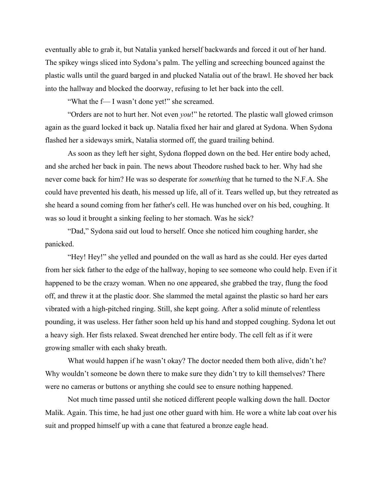eventually able to grab it, but Natalia yanked herself backwards and forced it out of her hand. The spikey wings sliced into Sydona's palm. The yelling and screeching bounced against the plastic walls until the guard barged in and plucked Natalia out of the brawl. He shoved her back into the hallway and blocked the doorway, refusing to let her back into the cell.

"What the f— I wasn't done yet!" she screamed.

"Orders are not to hurt her. Not even *you*!" he retorted. The plastic wall glowed crimson again as the guard locked it back up. Natalia fixed her hair and glared at Sydona. When Sydona flashed her a sideways smirk, Natalia stormed off, the guard trailing behind.

As soon as they left her sight, Sydona flopped down on the bed. Her entire body ached, and she arched her back in pain. The news about Theodore rushed back to her. Why had she never come back for him? He was so desperate for *something* that he turned to the N.F.A. She could have prevented his death, his messed up life, all of it. Tears welled up, but they retreated as she heard a sound coming from her father's cell. He was hunched over on his bed, coughing. It was so loud it brought a sinking feeling to her stomach. Was he sick?

"Dad," Sydona said out loud to herself. Once she noticed him coughing harder, she panicked.

"Hey! Hey!" she yelled and pounded on the wall as hard as she could. Her eyes darted from her sick father to the edge of the hallway, hoping to see someone who could help. Even if it happened to be the crazy woman. When no one appeared, she grabbed the tray, flung the food off, and threw it at the plastic door. She slammed the metal against the plastic so hard her ears vibrated with a high-pitched ringing. Still, she kept going. After a solid minute of relentless pounding, it was useless. Her father soon held up his hand and stopped coughing. Sydona let out a heavy sigh. Her fists relaxed. Sweat drenched her entire body. The cell felt as if it were growing smaller with each shaky breath.

What would happen if he wasn't okay? The doctor needed them both alive, didn't he? Why wouldn't someone be down there to make sure they didn't try to kill themselves? There were no cameras or buttons or anything she could see to ensure nothing happened.

Not much time passed until she noticed different people walking down the hall. Doctor Malik. Again. This time, he had just one other guard with him. He wore a white lab coat over his suit and propped himself up with a cane that featured a bronze eagle head.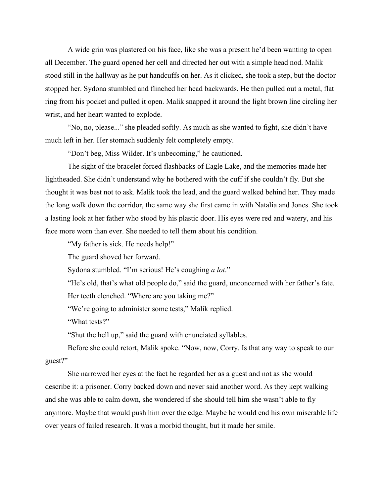A wide grin was plastered on his face, like she was a present he'd been wanting to open all December. The guard opened her cell and directed her out with a simple head nod. Malik stood still in the hallway as he put handcuffs on her. As it clicked, she took a step, but the doctor stopped her. Sydona stumbled and flinched her head backwards. He then pulled out a metal, flat ring from his pocket and pulled it open. Malik snapped it around the light brown line circling her wrist, and her heart wanted to explode.

"No, no, please..." she pleaded softly. As much as she wanted to fight, she didn't have much left in her. Her stomach suddenly felt completely empty.

"Don't beg, Miss Wilder. It's unbecoming," he cautioned.

The sight of the bracelet forced flashbacks of Eagle Lake, and the memories made her lightheaded. She didn't understand why he bothered with the cuff if she couldn't fly. But she thought it was best not to ask. Malik took the lead, and the guard walked behind her. They made the long walk down the corridor, the same way she first came in with Natalia and Jones. She took a lasting look at her father who stood by his plastic door. His eyes were red and watery, and his face more worn than ever. She needed to tell them about his condition.

"My father is sick. He needs help!"

The guard shoved her forward.

Sydona stumbled. "I'm serious! He's coughing *a lot*."

"He's old, that's what old people do," said the guard, unconcerned with her father's fate. Her teeth clenched. "Where are you taking me?"

"We're going to administer some tests," Malik replied.

"What tests?"

"Shut the hell up," said the guard with enunciated syllables.

Before she could retort, Malik spoke. "Now, now, Corry. Is that any way to speak to our guest?"

She narrowed her eyes at the fact he regarded her as a guest and not as she would describe it: a prisoner. Corry backed down and never said another word. As they kept walking and she was able to calm down, she wondered if she should tell him she wasn't able to fly anymore. Maybe that would push him over the edge. Maybe he would end his own miserable life over years of failed research. It was a morbid thought, but it made her smile.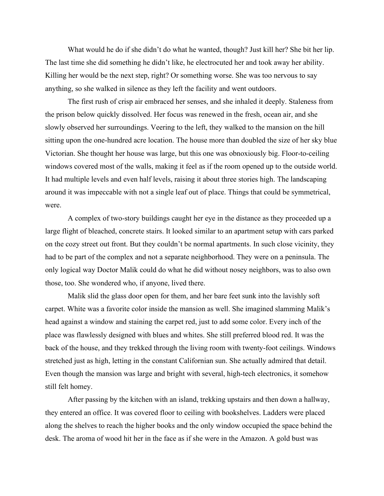What would he do if she didn't do what he wanted, though? Just kill her? She bit her lip. The last time she did something he didn't like, he electrocuted her and took away her ability. Killing her would be the next step, right? Or something worse. She was too nervous to say anything, so she walked in silence as they left the facility and went outdoors.

The first rush of crisp air embraced her senses, and she inhaled it deeply. Staleness from the prison below quickly dissolved. Her focus was renewed in the fresh, ocean air, and she slowly observed her surroundings. Veering to the left, they walked to the mansion on the hill sitting upon the one-hundred acre location. The house more than doubled the size of her sky blue Victorian. She thought her house was large, but this one was obnoxiously big. Floor-to-ceiling windows covered most of the walls, making it feel as if the room opened up to the outside world. It had multiple levels and even half levels, raising it about three stories high. The landscaping around it was impeccable with not a single leaf out of place. Things that could be symmetrical, were.

A complex of two-story buildings caught her eye in the distance as they proceeded up a large flight of bleached, concrete stairs. It looked similar to an apartment setup with cars parked on the cozy street out front. But they couldn't be normal apartments. In such close vicinity, they had to be part of the complex and not a separate neighborhood. They were on a peninsula. The only logical way Doctor Malik could do what he did without nosey neighbors, was to also own those, too. She wondered who, if anyone, lived there.

Malik slid the glass door open for them, and her bare feet sunk into the lavishly soft carpet. White was a favorite color inside the mansion as well. She imagined slamming Malik's head against a window and staining the carpet red, just to add some color. Every inch of the place was flawlessly designed with blues and whites. She still preferred blood red. It was the back of the house, and they trekked through the living room with twenty-foot ceilings. Windows stretched just as high, letting in the constant Californian sun. She actually admired that detail. Even though the mansion was large and bright with several, high-tech electronics, it somehow still felt homey.

After passing by the kitchen with an island, trekking upstairs and then down a hallway, they entered an office. It was covered floor to ceiling with bookshelves. Ladders were placed along the shelves to reach the higher books and the only window occupied the space behind the desk. The aroma of wood hit her in the face as if she were in the Amazon. A gold bust was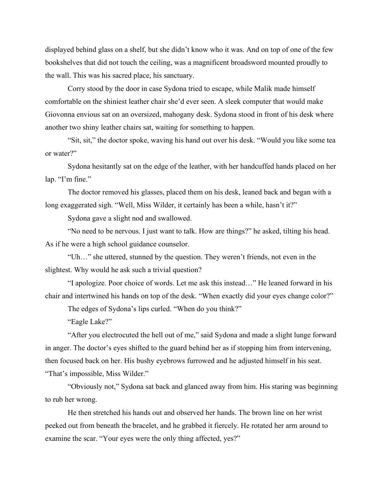displayed behind glass on a shelf, but she didn't know who it was. And on top of one of the few bookshelves that did not touch the ceiling, was a magnificent broadsword mounted proudly to the wall. This was his sacred place, his sanctuary.

Corry stood by the door in case Sydona tried to escape, while Malik made himself comfortable on the shiniest leather chair she'd ever seen. A sleek computer that would make Giovonna envious sat on an oversized, mahogany desk. Sydona stood in front of his desk where another two shiny leather chairs sat, waiting for something to happen.

"Sit, sit," the doctor spoke, waving his hand out over his desk. "Would you like some tea or water?"

Sydona hesitantly sat on the edge of the leather, with her handcuffed hands placed on her lap. "I'm fine."

The doctor removed his glasses, placed them on his desk, leaned back and began with a long exaggerated sigh. "Well, Miss Wilder, it certainly has been a while, hasn't it?"

Sydona gave a slight nod and swallowed.

"No need to be nervous. I just want to talk. How are things?" he asked, tilting his head. As if he were a high school guidance counselor.

"Uh…" she uttered, stunned by the question. They weren't friends, not even in the slightest. Why would he ask such a trivial question?

"I apologize. Poor choice of words. Let me ask this instead…" He leaned forward in his chair and intertwined his hands on top of the desk. "When exactly did your eyes change color?"

The edges of Sydona's lips curled. "When do you think?"

"Eagle Lake?"

"After you electrocuted the hell out of me," said Sydona and made a slight lunge forward in anger. The doctor's eyes shifted to the guard behind her as if stopping him from intervening, then focused back on her. His bushy eyebrows furrowed and he adjusted himself in his seat. "That's impossible, Miss Wilder."

"Obviously not," Sydona sat back and glanced away from him. His staring was beginning to rub her wrong.

He then stretched his hands out and observed her hands. The brown line on her wrist peeked out from beneath the bracelet, and he grabbed it fiercely. He rotated her arm around to examine the scar. "Your eyes were the only thing affected, yes?"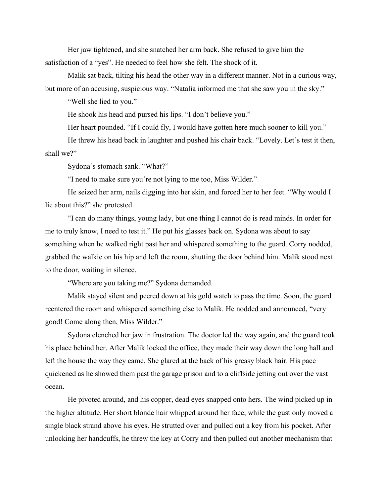Her jaw tightened, and she snatched her arm back. She refused to give him the satisfaction of a "yes". He needed to feel how she felt. The shock of it.

Malik sat back, tilting his head the other way in a different manner. Not in a curious way, but more of an accusing, suspicious way. "Natalia informed me that she saw you in the sky."

"Well she lied to you."

He shook his head and pursed his lips. "I don't believe you."

Her heart pounded. "If I could fly, I would have gotten here much sooner to kill you."

He threw his head back in laughter and pushed his chair back. "Lovely. Let's test it then, shall we?"

Sydona's stomach sank. "What?"

"I need to make sure you're not lying to me too, Miss Wilder."

He seized her arm, nails digging into her skin, and forced her to her feet. "Why would I lie about this?" she protested.

"I can do many things, young lady, but one thing I cannot do is read minds. In order for me to truly know, I need to test it." He put his glasses back on. Sydona was about to say something when he walked right past her and whispered something to the guard. Corry nodded, grabbed the walkie on his hip and left the room, shutting the door behind him. Malik stood next to the door, waiting in silence.

"Where are you taking me?" Sydona demanded.

Malik stayed silent and peered down at his gold watch to pass the time. Soon, the guard reentered the room and whispered something else to Malik. He nodded and announced, "very good! Come along then, Miss Wilder."

Sydona clenched her jaw in frustration. The doctor led the way again, and the guard took his place behind her. After Malik locked the office, they made their way down the long hall and left the house the way they came. She glared at the back of his greasy black hair. His pace quickened as he showed them past the garage prison and to a cliffside jetting out over the vast ocean.

He pivoted around, and his copper, dead eyes snapped onto hers. The wind picked up in the higher altitude. Her short blonde hair whipped around her face, while the gust only moved a single black strand above his eyes. He strutted over and pulled out a key from his pocket. After unlocking her handcuffs, he threw the key at Corry and then pulled out another mechanism that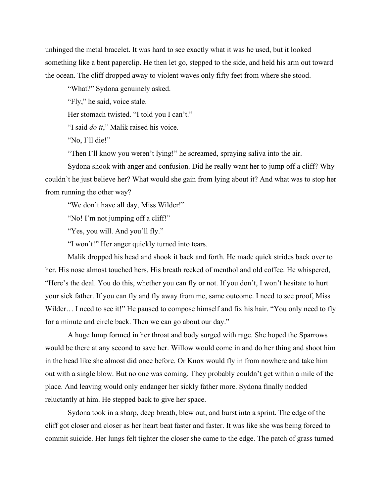unhinged the metal bracelet. It was hard to see exactly what it was he used, but it looked something like a bent paperclip. He then let go, stepped to the side, and held his arm out toward the ocean. The cliff dropped away to violent waves only fifty feet from where she stood.

"What?" Sydona genuinely asked.

"Fly," he said, voice stale.

Her stomach twisted. "I told you I can't."

"I said *do it*," Malik raised his voice.

"No, I'll die!"

"Then I'll know you weren't lying!" he screamed, spraying saliva into the air.

Sydona shook with anger and confusion. Did he really want her to jump off a cliff? Why couldn't he just believe her? What would she gain from lying about it? And what was to stop her from running the other way?

"We don't have all day, Miss Wilder!"

"No! I'm not jumping off a cliff!"

"Yes, you will. And you'll fly."

"I won't!" Her anger quickly turned into tears.

Malik dropped his head and shook it back and forth. He made quick strides back over to her. His nose almost touched hers. His breath reeked of menthol and old coffee. He whispered, "Here's the deal. You do this, whether you can fly or not. If you don't, I won't hesitate to hurt your sick father. If you can fly and fly away from me, same outcome. I need to see proof, Miss Wilder... I need to see it!" He paused to compose himself and fix his hair. "You only need to fly for a minute and circle back. Then we can go about our day."

A huge lump formed in her throat and body surged with rage. She hoped the Sparrows would be there at any second to save her. Willow would come in and do her thing and shoot him in the head like she almost did once before. Or Knox would fly in from nowhere and take him out with a single blow. But no one was coming. They probably couldn't get within a mile of the place. And leaving would only endanger her sickly father more. Sydona finally nodded reluctantly at him. He stepped back to give her space.

Sydona took in a sharp, deep breath, blew out, and burst into a sprint. The edge of the cliff got closer and closer as her heart beat faster and faster. It was like she was being forced to commit suicide. Her lungs felt tighter the closer she came to the edge. The patch of grass turned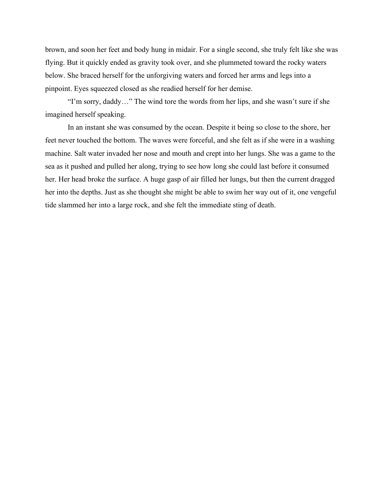brown, and soon her feet and body hung in midair. For a single second, she truly felt like she was flying. But it quickly ended as gravity took over, and she plummeted toward the rocky waters below. She braced herself for the unforgiving waters and forced her arms and legs into a pinpoint. Eyes squeezed closed as she readied herself for her demise.

"I'm sorry, daddy…" The wind tore the words from her lips, and she wasn't sure if she imagined herself speaking.

In an instant she was consumed by the ocean. Despite it being so close to the shore, her feet never touched the bottom. The waves were forceful, and she felt as if she were in a washing machine. Salt water invaded her nose and mouth and crept into her lungs. She was a game to the sea as it pushed and pulled her along, trying to see how long she could last before it consumed her. Her head broke the surface. A huge gasp of air filled her lungs, but then the current dragged her into the depths. Just as she thought she might be able to swim her way out of it, one vengeful tide slammed her into a large rock, and she felt the immediate sting of death.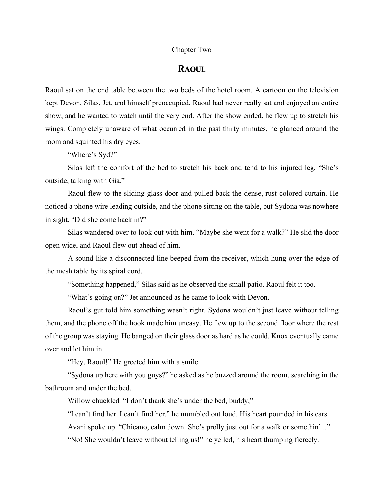## Chapter Two

## Raoul

Raoul sat on the end table between the two beds of the hotel room. A cartoon on the television kept Devon, Silas, Jet, and himself preoccupied. Raoul had never really sat and enjoyed an entire show, and he wanted to watch until the very end. After the show ended, he flew up to stretch his wings. Completely unaware of what occurred in the past thirty minutes, he glanced around the room and squinted his dry eyes.

"Where's Syd?"

Silas left the comfort of the bed to stretch his back and tend to his injured leg. "She's outside, talking with Gia."

Raoul flew to the sliding glass door and pulled back the dense, rust colored curtain. He noticed a phone wire leading outside, and the phone sitting on the table, but Sydona was nowhere in sight. "Did she come back in?"

Silas wandered over to look out with him. "Maybe she went for a walk?" He slid the door open wide, and Raoul flew out ahead of him.

A sound like a disconnected line beeped from the receiver, which hung over the edge of the mesh table by its spiral cord.

"Something happened," Silas said as he observed the small patio. Raoul felt it too.

"What's going on?" Jet announced as he came to look with Devon.

Raoul's gut told him something wasn't right. Sydona wouldn't just leave without telling them, and the phone off the hook made him uneasy. He flew up to the second floor where the rest of the group was staying. He banged on their glass door as hard as he could. Knox eventually came over and let him in.

"Hey, Raoul!" He greeted him with a smile.

"Sydona up here with you guys?" he asked as he buzzed around the room, searching in the bathroom and under the bed.

Willow chuckled. "I don't thank she's under the bed, buddy,"

"I can't find her. I can't find her." he mumbled out loud. His heart pounded in his ears. Avani spoke up. "Chicano, calm down. She's prolly just out for a walk or somethin'..." "No! She wouldn't leave without telling us!" he yelled, his heart thumping fiercely.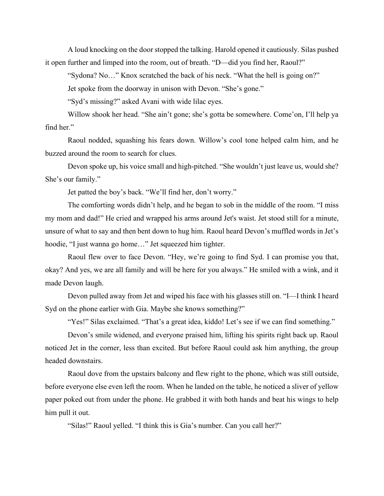A loud knocking on the door stopped the talking. Harold opened it cautiously. Silas pushed it open further and limped into the room, out of breath. "D—did you find her, Raoul?"

"Sydona? No…" Knox scratched the back of his neck. "What the hell is going on?"

Jet spoke from the doorway in unison with Devon. "She's gone."

"Syd's missing?" asked Avani with wide lilac eyes.

Willow shook her head. "She ain't gone; she's gotta be somewhere. Come'on, I'll help ya find her."

Raoul nodded, squashing his fears down. Willow's cool tone helped calm him, and he buzzed around the room to search for clues.

Devon spoke up, his voice small and high-pitched. "She wouldn't just leave us, would she? She's our family."

Jet patted the boy's back. "We'll find her, don't worry."

The comforting words didn't help, and he began to sob in the middle of the room. "I miss my mom and dad!" He cried and wrapped his arms around Jet's waist. Jet stood still for a minute, unsure of what to say and then bent down to hug him. Raoul heard Devon's muffled words in Jet's hoodie, "I just wanna go home…" Jet squeezed him tighter.

Raoul flew over to face Devon. "Hey, we're going to find Syd. I can promise you that, okay? And yes, we are all family and will be here for you always." He smiled with a wink, and it made Devon laugh.

Devon pulled away from Jet and wiped his face with his glasses still on. "I—I think I heard Syd on the phone earlier with Gia. Maybe she knows something?"

"Yes!" Silas exclaimed. "That's a great idea, kiddo! Let's see if we can find something."

Devon's smile widened, and everyone praised him, lifting his spirits right back up. Raoul noticed Jet in the corner, less than excited. But before Raoul could ask him anything, the group headed downstairs.

Raoul dove from the upstairs balcony and flew right to the phone, which was still outside, before everyone else even left the room. When he landed on the table, he noticed a sliver of yellow paper poked out from under the phone. He grabbed it with both hands and beat his wings to help him pull it out.

"Silas!" Raoul yelled. "I think this is Gia's number. Can you call her?"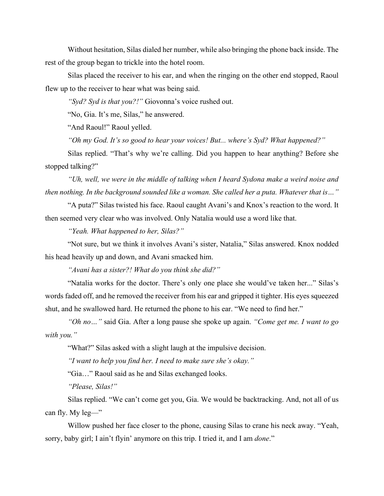Without hesitation, Silas dialed her number, while also bringing the phone back inside. The rest of the group began to trickle into the hotel room.

Silas placed the receiver to his ear, and when the ringing on the other end stopped, Raoul flew up to the receiver to hear what was being said.

*"Syd? Syd is that you?!"* Giovonna's voice rushed out.

"No, Gia. It's me, Silas," he answered.

"And Raoul!" Raoul yelled.

*"Oh my God. It's so good to hear your voices! But... where's Syd? What happened?"*

Silas replied. "That's why we're calling. Did you happen to hear anything? Before she stopped talking?"

*"Uh, well, we were in the middle of talking when I heard Sydona make a weird noise and then nothing. In the background sounded like a woman. She called her a puta. Whatever that is…"*

"A puta?" Silas twisted his face. Raoul caught Avani's and Knox's reaction to the word. It then seemed very clear who was involved. Only Natalia would use a word like that.

*"Yeah. What happened to her, Silas?"*

"Not sure, but we think it involves Avani's sister, Natalia," Silas answered. Knox nodded his head heavily up and down, and Avani smacked him.

*"Avani has a sister?! What do you think she did?"*

"Natalia works for the doctor. There's only one place she would've taken her..." Silas's words faded off, and he removed the receiver from his ear and gripped it tighter. His eyes squeezed shut, and he swallowed hard. He returned the phone to his ear. "We need to find her."

*"Oh no…"* said Gia. After a long pause she spoke up again. *"Come get me. I want to go with you."*

"What?" Silas asked with a slight laugh at the impulsive decision.

*"I want to help you find her. I need to make sure she's okay."*

"Gia…" Raoul said as he and Silas exchanged looks.

*"Please, Silas!"*

Silas replied. "We can't come get you, Gia. We would be backtracking. And, not all of us can fly. My leg—"

Willow pushed her face closer to the phone, causing Silas to crane his neck away. "Yeah, sorry, baby girl; I ain't flyin' anymore on this trip. I tried it, and I am *done*."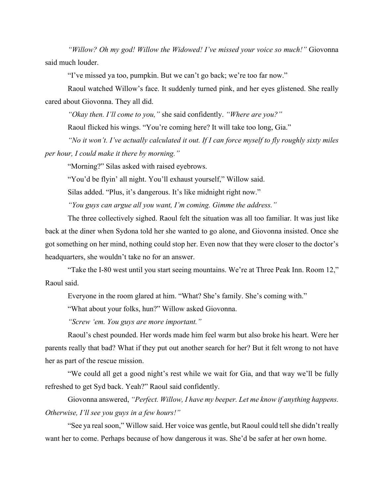*"Willow? Oh my god! Willow the Widowed! I've missed your voice so much!"* Giovonna said much louder.

"I've missed ya too, pumpkin. But we can't go back; we're too far now."

Raoul watched Willow's face. It suddenly turned pink, and her eyes glistened. She really cared about Giovonna. They all did.

*"Okay then. I'll come to you,"* she said confidently. *"Where are you?"*

Raoul flicked his wings. "You're coming here? It will take too long, Gia."

*"No it won't. I've actually calculated it out. If I can force myself to fly roughly sixty miles per hour, I could make it there by morning."*

"Morning?" Silas asked with raised eyebrows.

"You'd be flyin' all night. You'll exhaust yourself," Willow said.

Silas added. "Plus, it's dangerous. It's like midnight right now."

*"You guys can argue all you want, I'm coming. Gimme the address."*

The three collectively sighed. Raoul felt the situation was all too familiar. It was just like back at the diner when Sydona told her she wanted to go alone, and Giovonna insisted. Once she got something on her mind, nothing could stop her. Even now that they were closer to the doctor's headquarters, she wouldn't take no for an answer.

"Take the I-80 west until you start seeing mountains. We're at Three Peak Inn. Room 12," Raoul said.

Everyone in the room glared at him. "What? She's family. She's coming with."

"What about your folks, hun?" Willow asked Giovonna.

*"Screw 'em. You guys are more important."*

Raoul's chest pounded. Her words made him feel warm but also broke his heart. Were her parents really that bad? What if they put out another search for her? But it felt wrong to not have her as part of the rescue mission.

"We could all get a good night's rest while we wait for Gia, and that way we'll be fully refreshed to get Syd back. Yeah?" Raoul said confidently.

Giovonna answered, *"Perfect. Willow, I have my beeper. Let me know if anything happens. Otherwise, I'll see you guys in a few hours!"*

"See ya real soon," Willow said. Her voice was gentle, but Raoul could tell she didn't really want her to come. Perhaps because of how dangerous it was. She'd be safer at her own home.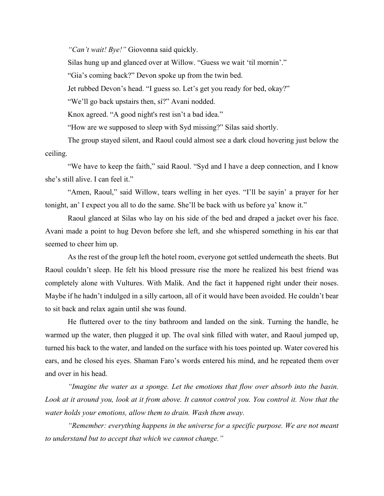*"Can't wait! Bye!"* Giovonna said quickly.

Silas hung up and glanced over at Willow. "Guess we wait 'til mornin'."

"Gia's coming back?" Devon spoke up from the twin bed.

Jet rubbed Devon's head. "I guess so. Let's get you ready for bed, okay?"

"We'll go back upstairs then, sí?" Avani nodded.

Knox agreed. "A good night's rest isn't a bad idea."

"How are we supposed to sleep with Syd missing?" Silas said shortly.

The group stayed silent, and Raoul could almost see a dark cloud hovering just below the ceiling.

"We have to keep the faith," said Raoul. "Syd and I have a deep connection, and I know she's still alive. I can feel it."

"Amen, Raoul," said Willow, tears welling in her eyes. "I'll be sayin' a prayer for her tonight, an' I expect you all to do the same. She'll be back with us before ya' know it."

Raoul glanced at Silas who lay on his side of the bed and draped a jacket over his face. Avani made a point to hug Devon before she left, and she whispered something in his ear that seemed to cheer him up.

As the rest of the group left the hotel room, everyone got settled underneath the sheets. But Raoul couldn't sleep. He felt his blood pressure rise the more he realized his best friend was completely alone with Vultures. With Malik. And the fact it happened right under their noses. Maybe if he hadn't indulged in a silly cartoon, all of it would have been avoided. He couldn't bear to sit back and relax again until she was found.

He fluttered over to the tiny bathroom and landed on the sink. Turning the handle, he warmed up the water, then plugged it up. The oval sink filled with water, and Raoul jumped up, turned his back to the water, and landed on the surface with his toes pointed up. Water covered his ears, and he closed his eyes. Shaman Faro's words entered his mind, and he repeated them over and over in his head.

*"Imagine the water as a sponge. Let the emotions that flow over absorb into the basin.*  Look at it around you, look at it from above. It cannot control you. You control it. Now that the *water holds your emotions, allow them to drain. Wash them away.*

*"Remember: everything happens in the universe for a specific purpose. We are not meant to understand but to accept that which we cannot change."*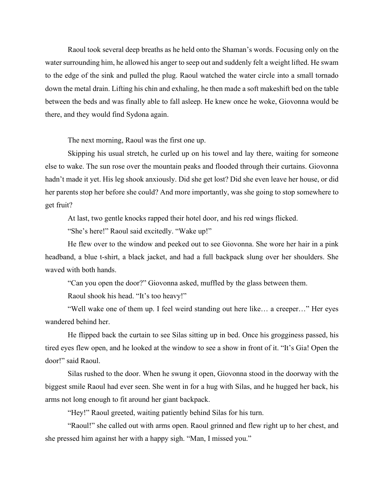Raoul took several deep breaths as he held onto the Shaman's words. Focusing only on the water surrounding him, he allowed his anger to seep out and suddenly felt a weight lifted. He swam to the edge of the sink and pulled the plug. Raoul watched the water circle into a small tornado down the metal drain. Lifting his chin and exhaling, he then made a soft makeshift bed on the table between the beds and was finally able to fall asleep. He knew once he woke, Giovonna would be there, and they would find Sydona again.

The next morning, Raoul was the first one up.

Skipping his usual stretch, he curled up on his towel and lay there, waiting for someone else to wake. The sun rose over the mountain peaks and flooded through their curtains. Giovonna hadn't made it yet. His leg shook anxiously. Did she get lost? Did she even leave her house, or did her parents stop her before she could? And more importantly, was she going to stop somewhere to get fruit?

At last, two gentle knocks rapped their hotel door, and his red wings flicked.

"She's here!" Raoul said excitedly. "Wake up!"

He flew over to the window and peeked out to see Giovonna. She wore her hair in a pink headband, a blue t-shirt, a black jacket, and had a full backpack slung over her shoulders. She waved with both hands.

"Can you open the door?" Giovonna asked, muffled by the glass between them.

Raoul shook his head. "It's too heavy!"

"Well wake one of them up. I feel weird standing out here like… a creeper…" Her eyes wandered behind her.

He flipped back the curtain to see Silas sitting up in bed. Once his grogginess passed, his tired eyes flew open, and he looked at the window to see a show in front of it. "It's Gia! Open the door!" said Raoul.

Silas rushed to the door. When he swung it open, Giovonna stood in the doorway with the biggest smile Raoul had ever seen. She went in for a hug with Silas, and he hugged her back, his arms not long enough to fit around her giant backpack.

"Hey!" Raoul greeted, waiting patiently behind Silas for his turn.

"Raoul!" she called out with arms open. Raoul grinned and flew right up to her chest, and she pressed him against her with a happy sigh. "Man, I missed you."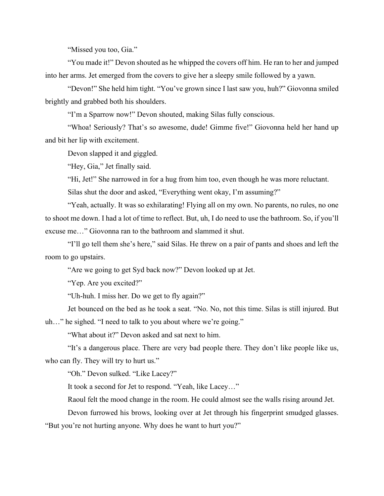"Missed you too, Gia."

"You made it!" Devon shouted as he whipped the covers off him. He ran to her and jumped into her arms. Jet emerged from the covers to give her a sleepy smile followed by a yawn.

"Devon!" She held him tight. "You've grown since I last saw you, huh?" Giovonna smiled brightly and grabbed both his shoulders.

"I'm a Sparrow now!" Devon shouted, making Silas fully conscious.

"Whoa! Seriously? That's so awesome, dude! Gimme five!" Giovonna held her hand up and bit her lip with excitement.

Devon slapped it and giggled.

"Hey, Gia," Jet finally said.

"Hi, Jet!" She narrowed in for a hug from him too, even though he was more reluctant.

Silas shut the door and asked, "Everything went okay, I'm assuming?"

"Yeah, actually. It was so exhilarating! Flying all on my own. No parents, no rules, no one to shoot me down. I had a lot of time to reflect. But, uh, I do need to use the bathroom. So, if you'll excuse me…" Giovonna ran to the bathroom and slammed it shut.

"I'll go tell them she's here," said Silas. He threw on a pair of pants and shoes and left the room to go upstairs.

"Are we going to get Syd back now?" Devon looked up at Jet.

"Yep. Are you excited?"

"Uh-huh. I miss her. Do we get to fly again?"

Jet bounced on the bed as he took a seat. "No. No, not this time. Silas is still injured. But uh…" he sighed. "I need to talk to you about where we're going."

"What about it?" Devon asked and sat next to him.

"It's a dangerous place. There are very bad people there. They don't like people like us, who can fly. They will try to hurt us."

"Oh." Devon sulked. "Like Lacey?"

It took a second for Jet to respond. "Yeah, like Lacey…"

Raoul felt the mood change in the room. He could almost see the walls rising around Jet.

Devon furrowed his brows, looking over at Jet through his fingerprint smudged glasses. "But you're not hurting anyone. Why does he want to hurt you?"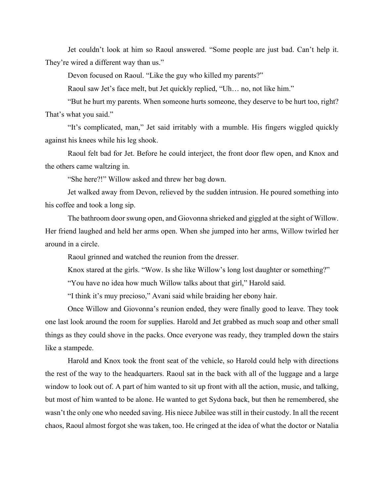Jet couldn't look at him so Raoul answered. "Some people are just bad. Can't help it. They're wired a different way than us."

Devon focused on Raoul. "Like the guy who killed my parents?"

Raoul saw Jet's face melt, but Jet quickly replied, "Uh… no, not like him."

"But he hurt my parents. When someone hurts someone, they deserve to be hurt too, right? That's what you said."

"It's complicated, man," Jet said irritably with a mumble. His fingers wiggled quickly against his knees while his leg shook.

Raoul felt bad for Jet. Before he could interject, the front door flew open, and Knox and the others came waltzing in.

"She here?!" Willow asked and threw her bag down.

Jet walked away from Devon, relieved by the sudden intrusion. He poured something into his coffee and took a long sip.

The bathroom door swung open, and Giovonna shrieked and giggled at the sight of Willow. Her friend laughed and held her arms open. When she jumped into her arms, Willow twirled her around in a circle.

Raoul grinned and watched the reunion from the dresser.

Knox stared at the girls. "Wow. Is she like Willow's long lost daughter or something?"

"You have no idea how much Willow talks about that girl," Harold said.

"I think it's muy precioso," Avani said while braiding her ebony hair.

Once Willow and Giovonna's reunion ended, they were finally good to leave. They took one last look around the room for supplies. Harold and Jet grabbed as much soap and other small things as they could shove in the packs. Once everyone was ready, they trampled down the stairs like a stampede.

Harold and Knox took the front seat of the vehicle, so Harold could help with directions the rest of the way to the headquarters. Raoul sat in the back with all of the luggage and a large window to look out of. A part of him wanted to sit up front with all the action, music, and talking, but most of him wanted to be alone. He wanted to get Sydona back, but then he remembered, she wasn't the only one who needed saving. His niece Jubilee was still in their custody. In all the recent chaos, Raoul almost forgot she was taken, too. He cringed at the idea of what the doctor or Natalia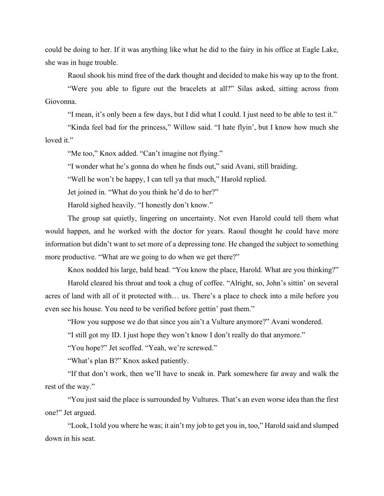could be doing to her. If it was anything like what he did to the fairy in his office at Eagle Lake, she was in huge trouble.

Raoul shook his mind free of the dark thought and decided to make his way up to the front.

"Were you able to figure out the bracelets at all?" Silas asked, sitting across from Giovonna.

"I mean, it's only been a few days, but I did what I could. I just need to be able to test it."

"Kinda feel bad for the princess," Willow said. "I hate flyin', but I know how much she loved it."

"Me too," Knox added. "Can't imagine not flying."

"I wonder what he's gonna do when he finds out," said Avani, still braiding.

"Well he won't be happy, I can tell ya that much," Harold replied.

Jet joined in. "What do you think he'd do to her?"

Harold sighed heavily. "I honestly don't know."

The group sat quietly, lingering on uncertainty. Not even Harold could tell them what would happen, and he worked with the doctor for years. Raoul thought he could have more information but didn't want to set more of a depressing tone. He changed the subject to something more productive. "What are we going to do when we get there?"

Knox nodded his large, bald head. "You know the place, Harold. What are you thinking?"

Harold cleared his throat and took a chug of coffee. "Alright, so, John's sittin' on several acres of land with all of it protected with… us. There's a place to check into a mile before you even see his house. You need to be verified before gettin' past them."

"How you suppose we do that since you ain't a Vulture anymore?" Avani wondered.

"I still got my ID. I just hope they won't know I don't really do that anymore."

"You hope?" Jet scoffed. "Yeah, we're screwed."

"What's plan B?" Knox asked patiently.

"If that don't work, then we'll have to sneak in. Park somewhere far away and walk the rest of the way."

"You just said the place is surrounded by Vultures. That's an even worse idea than the first one!" Jet argued.

"Look, I told you where he was; it ain't my job to get you in, too," Harold said and slumped down in his seat.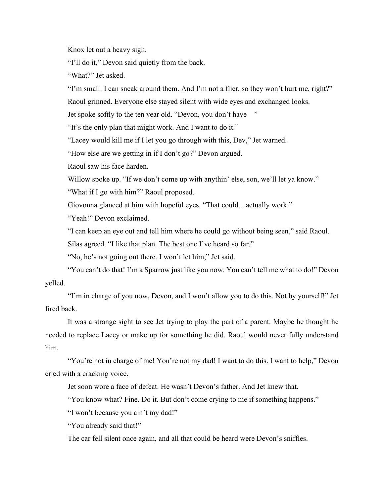Knox let out a heavy sigh.

"I'll do it," Devon said quietly from the back.

"What?" Jet asked.

"I'm small. I can sneak around them. And I'm not a flier, so they won't hurt me, right?"

Raoul grinned. Everyone else stayed silent with wide eyes and exchanged looks.

Jet spoke softly to the ten year old. "Devon, you don't have—"

"It's the only plan that might work. And I want to do it."

"Lacey would kill me if I let you go through with this, Dev," Jet warned.

"How else are we getting in if I don't go?" Devon argued.

Raoul saw his face harden.

Willow spoke up. "If we don't come up with anythin' else, son, we'll let ya know."

"What if I go with him?" Raoul proposed.

Giovonna glanced at him with hopeful eyes. "That could... actually work."

"Yeah!" Devon exclaimed.

"I can keep an eye out and tell him where he could go without being seen," said Raoul.

Silas agreed. "I like that plan. The best one I've heard so far."

"No, he's not going out there. I won't let him," Jet said.

"You can't do that! I'm a Sparrow just like you now. You can't tell me what to do!" Devon yelled.

"I'm in charge of you now, Devon, and I won't allow you to do this. Not by yourself!" Jet fired back.

It was a strange sight to see Jet trying to play the part of a parent. Maybe he thought he needed to replace Lacey or make up for something he did. Raoul would never fully understand him.

"You're not in charge of me! You're not my dad! I want to do this. I want to help," Devon cried with a cracking voice.

Jet soon wore a face of defeat. He wasn't Devon's father. And Jet knew that.

"You know what? Fine. Do it. But don't come crying to me if something happens."

"I won't because you ain't my dad!"

"You already said that!"

The car fell silent once again, and all that could be heard were Devon's sniffles.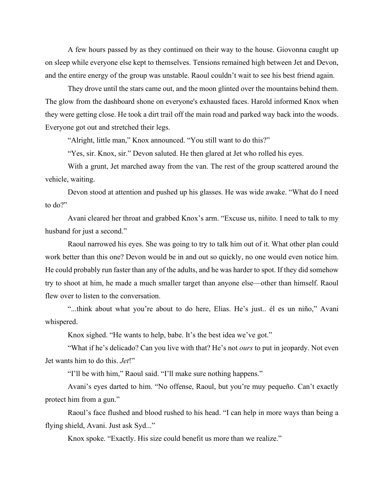A few hours passed by as they continued on their way to the house. Giovonna caught up on sleep while everyone else kept to themselves. Tensions remained high between Jet and Devon, and the entire energy of the group was unstable. Raoul couldn't wait to see his best friend again.

They drove until the stars came out, and the moon glinted over the mountains behind them. The glow from the dashboard shone on everyone's exhausted faces. Harold informed Knox when they were getting close. He took a dirt trail off the main road and parked way back into the woods. Everyone got out and stretched their legs.

"Alright, little man," Knox announced. "You still want to do this?"

"Yes, sir. Knox, sir." Devon saluted. He then glared at Jet who rolled his eyes.

With a grunt, Jet marched away from the van. The rest of the group scattered around the vehicle, waiting.

Devon stood at attention and pushed up his glasses. He was wide awake. "What do I need to do?"

Avani cleared her throat and grabbed Knox's arm. "Excuse us, niñito. I need to talk to my husband for just a second."

Raoul narrowed his eyes. She was going to try to talk him out of it. What other plan could work better than this one? Devon would be in and out so quickly, no one would even notice him. He could probably run faster than any of the adults, and he was harder to spot. If they did somehow try to shoot at him, he made a much smaller target than anyone else—other than himself. Raoul flew over to listen to the conversation.

"...think about what you're about to do here, Elias. He's just.. él es un niño," Avani whispered.

Knox sighed. "He wants to help, babe. It's the best idea we've got."

"What if he's delicado? Can you live with that? He's not *ours* to put in jeopardy. Not even Jet wants him to do this. *Jet*!"

"I'll be with him," Raoul said. "I'll make sure nothing happens."

Avani's eyes darted to him. "No offense, Raoul, but you're muy pequeño. Can't exactly protect him from a gun."

Raoul's face flushed and blood rushed to his head. "I can help in more ways than being a flying shield, Avani. Just ask Syd..."

Knox spoke. "Exactly. His size could benefit us more than we realize."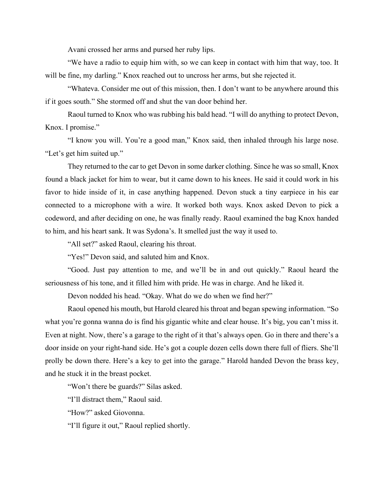Avani crossed her arms and pursed her ruby lips.

"We have a radio to equip him with, so we can keep in contact with him that way, too. It will be fine, my darling." Knox reached out to uncross her arms, but she rejected it.

"Whateva. Consider me out of this mission, then. I don't want to be anywhere around this if it goes south." She stormed off and shut the van door behind her.

Raoul turned to Knox who was rubbing his bald head. "I will do anything to protect Devon, Knox. I promise."

"I know you will. You're a good man," Knox said, then inhaled through his large nose. "Let's get him suited up."

They returned to the car to get Devon in some darker clothing. Since he was so small, Knox found a black jacket for him to wear, but it came down to his knees. He said it could work in his favor to hide inside of it, in case anything happened. Devon stuck a tiny earpiece in his ear connected to a microphone with a wire. It worked both ways. Knox asked Devon to pick a codeword, and after deciding on one, he was finally ready. Raoul examined the bag Knox handed to him, and his heart sank. It was Sydona's. It smelled just the way it used to.

"All set?" asked Raoul, clearing his throat.

"Yes!" Devon said, and saluted him and Knox.

"Good. Just pay attention to me, and we'll be in and out quickly." Raoul heard the seriousness of his tone, and it filled him with pride. He was in charge. And he liked it.

Devon nodded his head. "Okay. What do we do when we find her?"

Raoul opened his mouth, but Harold cleared his throat and began spewing information. "So what you're gonna wanna do is find his gigantic white and clear house. It's big, you can't miss it. Even at night. Now, there's a garage to the right of it that's always open. Go in there and there's a door inside on your right-hand side. He's got a couple dozen cells down there full of fliers. She'll prolly be down there. Here's a key to get into the garage." Harold handed Devon the brass key, and he stuck it in the breast pocket.

"Won't there be guards?" Silas asked.

"I'll distract them," Raoul said.

"How?" asked Giovonna.

"I'll figure it out," Raoul replied shortly.